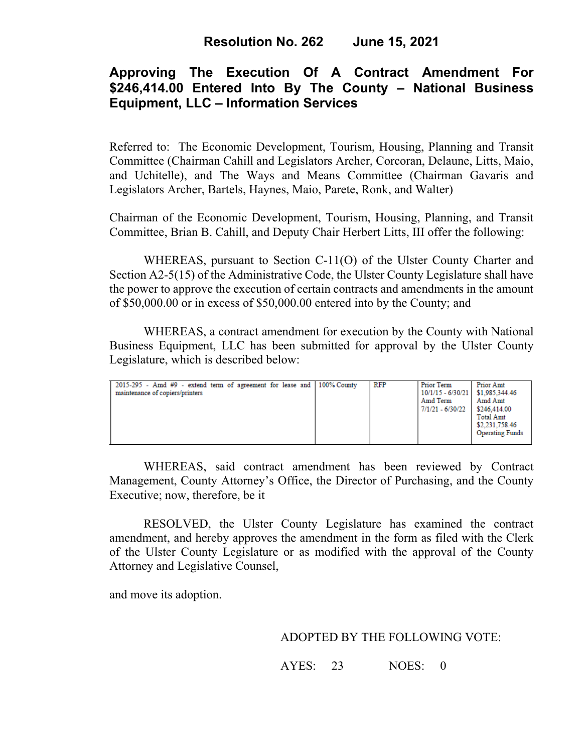# **Approving The Execution Of A Contract Amendment For \$246,414.00 Entered Into By The County – National Business Equipment, LLC – Information Services**

Referred to: The Economic Development, Tourism, Housing, Planning and Transit Committee (Chairman Cahill and Legislators Archer, Corcoran, Delaune, Litts, Maio, and Uchitelle), and The Ways and Means Committee (Chairman Gavaris and Legislators Archer, Bartels, Haynes, Maio, Parete, Ronk, and Walter)

Chairman of the Economic Development, Tourism, Housing, Planning, and Transit Committee, Brian B. Cahill, and Deputy Chair Herbert Litts, III offer the following:

WHEREAS, pursuant to Section C-11(O) of the Ulster County Charter and Section A2-5(15) of the Administrative Code, the Ulster County Legislature shall have the power to approve the execution of certain contracts and amendments in the amount of \$50,000.00 or in excess of \$50,000.00 entered into by the County; and

WHEREAS, a contract amendment for execution by the County with National Business Equipment, LLC has been submitted for approval by the Ulster County Legislature, which is described below:

| 2015-295 - Amd #9 - extend term of agreement for lease and 100% County<br>maintenance of copiers/printers |  | RFP | Prior Term<br>10/1/15 - 6/30/21   \$1,985,344.46<br>Amd Term<br>7/1/21 - 6/30/22 | Prior Amt<br>Amd Amt<br>\$246,414.00<br><b>Total Amt</b><br>\$2,231,758.46<br><b>Operating Funds</b> |
|-----------------------------------------------------------------------------------------------------------|--|-----|----------------------------------------------------------------------------------|------------------------------------------------------------------------------------------------------|
|-----------------------------------------------------------------------------------------------------------|--|-----|----------------------------------------------------------------------------------|------------------------------------------------------------------------------------------------------|

WHEREAS, said contract amendment has been reviewed by Contract Management, County Attorney's Office, the Director of Purchasing, and the County Executive; now, therefore, be it

RESOLVED, the Ulster County Legislature has examined the contract amendment, and hereby approves the amendment in the form as filed with the Clerk of the Ulster County Legislature or as modified with the approval of the County Attorney and Legislative Counsel,

and move its adoption.

### ADOPTED BY THE FOLLOWING VOTE:

AYES: 23 NOES: 0